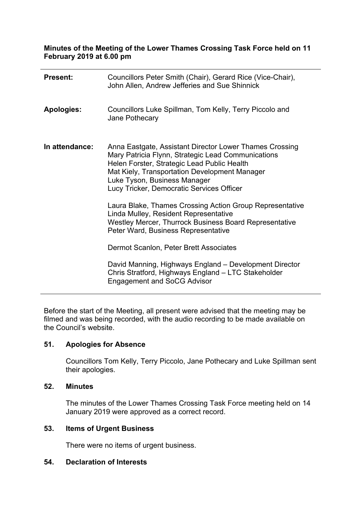**Minutes of the Meeting of the Lower Thames Crossing Task Force held on 11 February 2019 at 6.00 pm**

| <b>Present:</b>   | Councillors Peter Smith (Chair), Gerard Rice (Vice-Chair),<br>John Allen, Andrew Jefferies and Sue Shinnick                                                                                                                                                                                |
|-------------------|--------------------------------------------------------------------------------------------------------------------------------------------------------------------------------------------------------------------------------------------------------------------------------------------|
| <b>Apologies:</b> | Councillors Luke Spillman, Tom Kelly, Terry Piccolo and<br>Jane Pothecary                                                                                                                                                                                                                  |
| In attendance:    | Anna Eastgate, Assistant Director Lower Thames Crossing<br>Mary Patricia Flynn, Strategic Lead Communications<br>Helen Forster, Strategic Lead Public Health<br>Mat Kiely, Transportation Development Manager<br>Luke Tyson, Business Manager<br>Lucy Tricker, Democratic Services Officer |
|                   | Laura Blake, Thames Crossing Action Group Representative<br>Linda Mulley, Resident Representative<br>Westley Mercer, Thurrock Business Board Representative<br>Peter Ward, Business Representative                                                                                         |
|                   | Dermot Scanlon, Peter Brett Associates                                                                                                                                                                                                                                                     |
|                   | David Manning, Highways England - Development Director<br>Chris Stratford, Highways England - LTC Stakeholder<br><b>Engagement and SoCG Advisor</b>                                                                                                                                        |

Before the start of the Meeting, all present were advised that the meeting may be filmed and was being recorded, with the audio recording to be made available on the Council's website.

# **51. Apologies for Absence**

Councillors Tom Kelly, Terry Piccolo, Jane Pothecary and Luke Spillman sent their apologies.

# **52. Minutes**

The minutes of the Lower Thames Crossing Task Force meeting held on 14 January 2019 were approved as a correct record.

## **53. Items of Urgent Business**

There were no items of urgent business.

### **54. Declaration of Interests**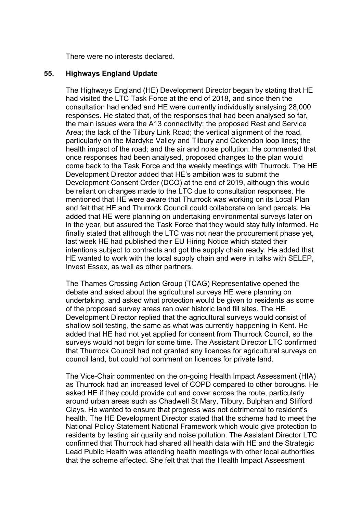There were no interests declared.

### **55. Highways England Update**

The Highways England (HE) Development Director began by stating that HE had visited the LTC Task Force at the end of 2018, and since then the consultation had ended and HE were currently individually analysing 28,000 responses. He stated that, of the responses that had been analysed so far, the main issues were the A13 connectivity; the proposed Rest and Service Area; the lack of the Tilbury Link Road; the vertical alignment of the road, particularly on the Mardyke Valley and Tilbury and Ockendon loop lines; the health impact of the road; and the air and noise pollution. He commented that once responses had been analysed, proposed changes to the plan would come back to the Task Force and the weekly meetings with Thurrock. The HE Development Director added that HE's ambition was to submit the Development Consent Order (DCO) at the end of 2019, although this would be reliant on changes made to the LTC due to consultation responses. He mentioned that HE were aware that Thurrock was working on its Local Plan and felt that HE and Thurrock Council could collaborate on land parcels. He added that HE were planning on undertaking environmental surveys later on in the year, but assured the Task Force that they would stay fully informed. He finally stated that although the LTC was not near the procurement phase yet, last week HE had published their EU Hiring Notice which stated their intentions subject to contracts and got the supply chain ready. He added that HE wanted to work with the local supply chain and were in talks with SELEP, Invest Essex, as well as other partners.

The Thames Crossing Action Group (TCAG) Representative opened the debate and asked about the agricultural surveys HE were planning on undertaking, and asked what protection would be given to residents as some of the proposed survey areas ran over historic land fill sites. The HE Development Director replied that the agricultural surveys would consist of shallow soil testing, the same as what was currently happening in Kent. He added that HE had not yet applied for consent from Thurrock Council, so the surveys would not begin for some time. The Assistant Director LTC confirmed that Thurrock Council had not granted any licences for agricultural surveys on council land, but could not comment on licences for private land.

The Vice-Chair commented on the on-going Health Impact Assessment (HIA) as Thurrock had an increased level of COPD compared to other boroughs. He asked HE if they could provide cut and cover across the route, particularly around urban areas such as Chadwell St Mary, Tilbury, Bulphan and Stifford Clays. He wanted to ensure that progress was not detrimental to resident's health. The HE Development Director stated that the scheme had to meet the National Policy Statement National Framework which would give protection to residents by testing air quality and noise pollution. The Assistant Director LTC confirmed that Thurrock had shared all health data with HE and the Strategic Lead Public Health was attending health meetings with other local authorities that the scheme affected. She felt that that the Health Impact Assessment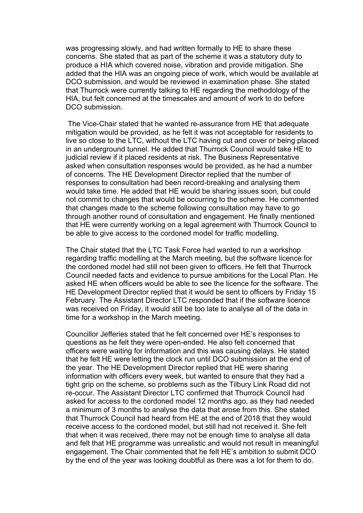was progressing slowly, and had written formally to HE to share these concerns. She stated that as part of the scheme it was a statutory duty to produce a HIA which covered noise, vibration and provide mitigation. She added that the HIA was an ongoing piece of work, which would be available at DCO submission, and would be reviewed in examination phase. She stated that Thurrock were currently talking to HE regarding the methodology of the HIA, but felt concerned at the timescales and amount of work to do before DCO submission.

The Vice-Chair stated that he wanted re-assurance from HE that adequate mitigation would be provided, as he felt it was not acceptable for residents to live so close to the LTC, without the LTC having cut and cover or being placed in an underground tunnel. He added that Thurrock Council would take HE to judicial review if it placed residents at risk. The Business Representative asked when consultation responses would be provided, as he had a number of concerns. The HE Development Director replied that the number of responses to consultation had been record-breaking and analysing them would take time. He added that HE would be sharing issues soon, but could not commit to changes that would be occurring to the scheme. He commented that changes made to the scheme following consultation may have to go through another round of consultation and engagement. He finally mentioned that HE were currently working on a legal agreement with Thurrock Council to be able to give access to the cordoned model for traffic modelling.

The Chair stated that the LTC Task Force had wanted to run a workshop regarding traffic modelling at the March meeting, but the software licence for the cordoned model had still not been given to officers. He felt that Thurrock Council needed facts and evidence to pursue ambitions for the Local Plan. He asked HE when officers would be able to see the licence for the software. The HE Development Director replied that it would be sent to officers by Friday 15 February. The Assistant Director LTC responded that if the software licence was received on Friday, it would still be too late to analyse all of the data in time for a workshop in the March meeting.

Councillor Jefferies stated that he felt concerned over HE's responses to questions as he felt they were open-ended. He also felt concerned that officers were waiting for information and this was causing delays. He stated that he felt HE were letting the clock run until DCO submission at the end of the year. The HE Development Director replied that HE were sharing information with officers every week, but wanted to ensure that they had a tight grip on the scheme, so problems such as the Tilbury Link Road did not re-occur. The Assistant Director LTC confirmed that Thurrock Council had asked for access to the cordoned model 12 months ago, as they had needed a minimum of 3 months to analyse the data that arose from this. She stated that Thurrock Council had heard from HE at the end of 2018 that they would receive access to the cordoned model, but still had not received it. She felt that when it was received, there may not be enough time to analyse all data and felt that HE programme was unrealistic and would not result in meaningful engagement. The Chair commented that he felt HE's ambition to submit DCO by the end of the year was looking doubtful as there was a lot for them to do.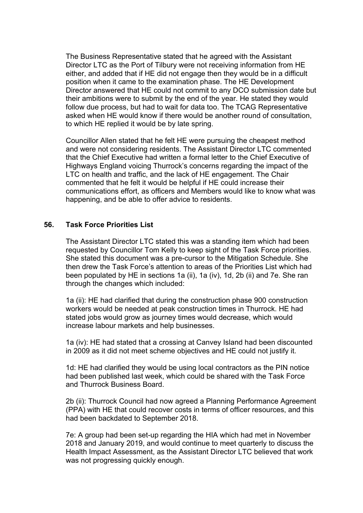The Business Representative stated that he agreed with the Assistant Director LTC as the Port of Tilbury were not receiving information from HE either, and added that if HE did not engage then they would be in a difficult position when it came to the examination phase. The HE Development Director answered that HE could not commit to any DCO submission date but their ambitions were to submit by the end of the year. He stated they would follow due process, but had to wait for data too. The TCAG Representative asked when HE would know if there would be another round of consultation, to which HE replied it would be by late spring.

Councillor Allen stated that he felt HE were pursuing the cheapest method and were not considering residents. The Assistant Director LTC commented that the Chief Executive had written a formal letter to the Chief Executive of Highways England voicing Thurrock's concerns regarding the impact of the LTC on health and traffic, and the lack of HE engagement. The Chair commented that he felt it would be helpful if HE could increase their communications effort, as officers and Members would like to know what was happening, and be able to offer advice to residents.

### **56. Task Force Priorities List**

The Assistant Director LTC stated this was a standing item which had been requested by Councillor Tom Kelly to keep sight of the Task Force priorities. She stated this document was a pre-cursor to the Mitigation Schedule. She then drew the Task Force's attention to areas of the Priorities List which had been populated by HE in sections 1a (ii), 1a (iv), 1d, 2b (ii) and 7e. She ran through the changes which included:

1a (ii): HE had clarified that during the construction phase 900 construction workers would be needed at peak construction times in Thurrock. HE had stated jobs would grow as journey times would decrease, which would increase labour markets and help businesses.

1a (iv): HE had stated that a crossing at Canvey Island had been discounted in 2009 as it did not meet scheme objectives and HE could not justify it.

1d: HE had clarified they would be using local contractors as the PIN notice had been published last week, which could be shared with the Task Force and Thurrock Business Board.

2b (ii): Thurrock Council had now agreed a Planning Performance Agreement (PPA) with HE that could recover costs in terms of officer resources, and this had been backdated to September 2018.

7e: A group had been set-up regarding the HIA which had met in November 2018 and January 2019, and would continue to meet quarterly to discuss the Health Impact Assessment, as the Assistant Director LTC believed that work was not progressing quickly enough.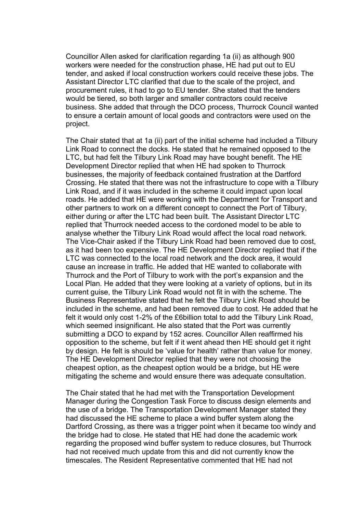Councillor Allen asked for clarification regarding 1a (ii) as although 900 workers were needed for the construction phase, HE had put out to EU tender, and asked if local construction workers could receive these jobs. The Assistant Director LTC clarified that due to the scale of the project, and procurement rules, it had to go to EU tender. She stated that the tenders would be tiered, so both larger and smaller contractors could receive business. She added that through the DCO process, Thurrock Council wanted to ensure a certain amount of local goods and contractors were used on the project.

The Chair stated that at 1a (ii) part of the initial scheme had included a Tilbury Link Road to connect the docks. He stated that he remained opposed to the LTC, but had felt the Tilbury Link Road may have bought benefit. The HE Development Director replied that when HE had spoken to Thurrock businesses, the majority of feedback contained frustration at the Dartford Crossing. He stated that there was not the infrastructure to cope with a Tilbury Link Road, and if it was included in the scheme it could impact upon local roads. He added that HE were working with the Department for Transport and other partners to work on a different concept to connect the Port of Tilbury, either during or after the LTC had been built. The Assistant Director LTC replied that Thurrock needed access to the cordoned model to be able to analyse whether the Tilbury Link Road would affect the local road network. The Vice-Chair asked if the Tilbury Link Road had been removed due to cost, as it had been too expensive. The HE Development Director replied that if the LTC was connected to the local road network and the dock area, it would cause an increase in traffic. He added that HE wanted to collaborate with Thurrock and the Port of Tilbury to work with the port's expansion and the Local Plan. He added that they were looking at a variety of options, but in its current guise, the Tilbury Link Road would not fit in with the scheme. The Business Representative stated that he felt the Tilbury Link Road should be included in the scheme, and had been removed due to cost. He added that he felt it would only cost 1-2% of the £6billion total to add the Tilbury Link Road, which seemed insignificant. He also stated that the Port was currently submitting a DCO to expand by 152 acres. Councillor Allen reaffirmed his opposition to the scheme, but felt if it went ahead then HE should get it right by design. He felt is should be 'value for health' rather than value for money. The HE Development Director replied that they were not choosing the cheapest option, as the cheapest option would be a bridge, but HE were mitigating the scheme and would ensure there was adequate consultation.

The Chair stated that he had met with the Transportation Development Manager during the Congestion Task Force to discuss design elements and the use of a bridge. The Transportation Development Manager stated they had discussed the HE scheme to place a wind buffer system along the Dartford Crossing, as there was a trigger point when it became too windy and the bridge had to close. He stated that HE had done the academic work regarding the proposed wind buffer system to reduce closures, but Thurrock had not received much update from this and did not currently know the timescales. The Resident Representative commented that HE had not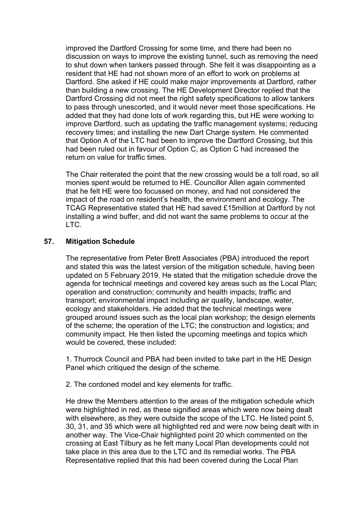improved the Dartford Crossing for some time, and there had been no discussion on ways to improve the existing tunnel, such as removing the need to shut down when tankers passed through. She felt it was disappointing as a resident that HE had not shown more of an effort to work on problems at Dartford. She asked if HE could make major improvements at Dartford, rather than building a new crossing. The HE Development Director replied that the Dartford Crossing did not meet the right safety specifications to allow tankers to pass through unescorted, and it would never meet those specifications. He added that they had done lots of work regarding this, but HE were working to improve Dartford, such as updating the traffic management systems; reducing recovery times; and installing the new Dart Charge system. He commented that Option A of the LTC had been to improve the Dartford Crossing, but this had been ruled out in favour of Option C, as Option C had increased the return on value for traffic times.

The Chair reiterated the point that the new crossing would be a toll road, so all monies spent would be returned to HE. Councillor Allen again commented that he felt HE were too focussed on money, and had not considered the impact of the road on resident's health, the environment and ecology. The TCAG Representative stated that HE had saved £15million at Dartford by not installing a wind buffer, and did not want the same problems to occur at the LTC.

### **57. Mitigation Schedule**

The representative from Peter Brett Associates (PBA) introduced the report and stated this was the latest version of the mitigation schedule, having been updated on 5 February 2019. He stated that the mitigation schedule drove the agenda for technical meetings and covered key areas such as the Local Plan; operation and construction; community and health impacts; traffic and transport; environmental impact including air quality, landscape, water, ecology and stakeholders. He added that the technical meetings were grouped around issues such as the local plan workshop; the design elements of the scheme; the operation of the LTC; the construction and logistics; and community impact. He then listed the upcoming meetings and topics which would be covered, these included:

1. Thurrock Council and PBA had been invited to take part in the HE Design Panel which critiqued the design of the scheme.

2. The cordoned model and key elements for traffic.

He drew the Members attention to the areas of the mitigation schedule which were highlighted in red, as these signified areas which were now being dealt with elsewhere, as they were outside the scope of the LTC. He listed point 5, 30, 31, and 35 which were all highlighted red and were now being dealt with in another way. The Vice-Chair highlighted point 20 which commented on the crossing at East Tilbury as he felt many Local Plan developments could not take place in this area due to the LTC and its remedial works. The PBA Representative replied that this had been covered during the Local Plan